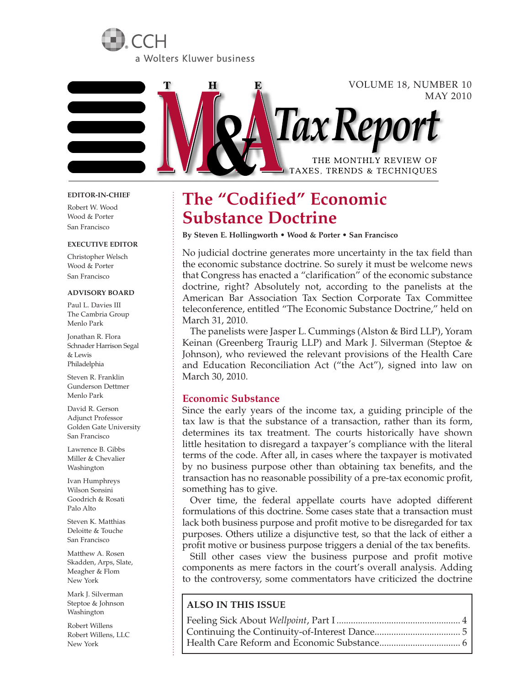



#### **EDITOR-IN-CHIEF**

Robert W. Wood Wood & Porter San Francisco

#### **EXECUTIVE EDITOR**

Christopher Welsch Wood & Porter San Francisco

#### **ADVISORY BOARD**

Paul L. Davies III The Cambria Group Menlo Park

Jonathan R. Flora Schnader Harrison Segal & Lewis Philadelphia

Steven R. Franklin Gunderson Dettmer Menlo Park

David R. Gerson Adjunct Professor Golden Gate University San Francisco

Lawrence B. Gibbs Miller & Chevalier Washington

Ivan Humphreys Wilson Sonsini Goodrich & Rosati Palo Alto

Steven K. Matthias Deloitte & Touche San Francisco

Matthew A. Rosen Skadden, Arps, Slate, Meagher & Flom New York

Mark J. Silverman Steptoe & Johnson Washington

Robert Willens Robert Willens, LLC New York

# **The "Codified" Economic Substance Doctrine**

**By Steven E. Hollingworth • Wood & Porter • San Francisco**

No judicial doctrine generates more uncertainty in the tax field than the economic substance doctrine. So surely it must be welcome news that Congress has enacted a "clarification" of the economic substance doctrine, right? Absolutely not, according to the panelists at the American Bar Association Tax Section Corporate Tax Committee teleconference, entitled "The Economic Substance Doctrine," held on March 31, 2010.

The panelists were Jasper L. Cummings (Alston & Bird LLP), Yoram Keinan (Greenberg Traurig LLP) and Mark J. Silverman (Steptoe & Johnson), who reviewed the relevant provisions of the Health Care and Education Reconciliation Act ("the Act"), signed into law on March 30, 2010.

# **Economic Substance**

Since the early years of the income tax, a guiding principle of the tax law is that the substance of a transaction, rather than its form, determines its tax treatment. The courts historically have shown little hesitation to disregard a taxpayer's compliance with the literal terms of the code. After all, in cases where the taxpayer is motivated by no business purpose other than obtaining tax benefits, and the transaction has no reasonable possibility of a pre-tax economic profit, something has to give.

Over time, the federal appellate courts have adopted different formulations of this doctrine. Some cases state that a transaction must lack both business purpose and profit motive to be disregarded for tax purposes. Others utilize a disjunctive test, so that the lack of either a profit motive or business purpose triggers a denial of the tax benefits.

Still other cases view the business purpose and profit motive components as mere factors in the court's overall analysis. Adding to the controversy, some commentators have criticized the doctrine

# **ALSO IN THIS ISSUE**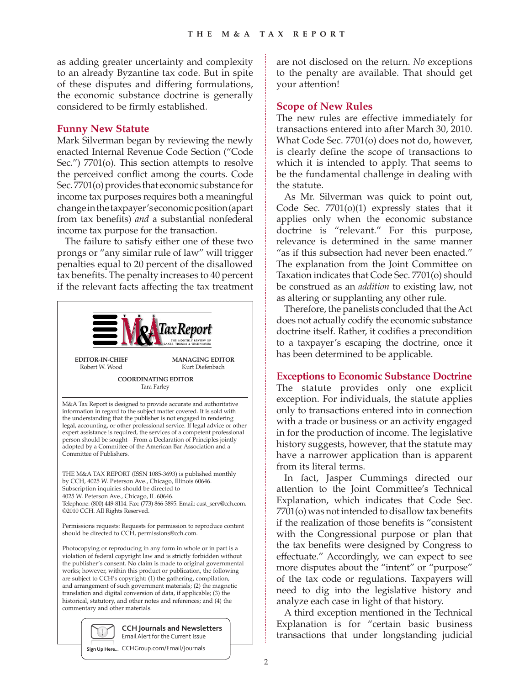as adding greater uncertainty and complexity to an already Byzantine tax code. But in spite of these disputes and differing formulations, the economic substance doctrine is generally considered to be firmly established.

# **Funny New Statute**

Mark Silverman began by reviewing the newly enacted Internal Revenue Code Section ("Code Sec.") 7701(o). This section attempts to resolve the perceived conflict among the courts. Code Sec. 7701(o) provides that economic substance for income tax purposes requires both a meaningful change in the taxpayer's economic position (apart from tax benefits) *and* a substantial nonfederal income tax purpose for the transaction.

The failure to satisfy either one of these two prongs or "any similar rule of law" will trigger penalties equal to 20 percent of the disallowed tax benefits. The penalty increases to 40 percent if the relevant facts affecting the tax treatment



violation of federal copyright law and is strictly forbidden without the publisher's consent. No claim is made to original governmental works; however, within this product or publication, the following are subject to CCH's copyright: (1) the gathering, compilation, and arrangement of such government materials; (2) the magnetic translation and digital conversion of data, if applicable; (3) the historical, statutory, and other notes and references; and (4) the commentary and other materials.



**Sign Up Here...** CCHGroup.com/Email/Journals

are not disclosed on the return. *No* exceptions to the penalty are available. That should get your attention!

# **Scope of New Rules**

The new rules are effective immediately for transactions entered into after March 30, 2010. What Code Sec. 7701(o) does not do, however, is clearly define the scope of transactions to which it is intended to apply. That seems to be the fundamental challenge in dealing with the statute.

As Mr. Silverman was quick to point out, Code Sec.  $7701(0)(1)$  expressly states that it applies only when the economic substance doctrine is "relevant." For this purpose, relevance is determined in the same manner "as if this subsection had never been enacted." The explanation from the Joint Committee on Taxation indicates that Code Sec. 7701(o) should be construed as an *addition* to existing law, not as altering or supplanting any other rule.

Therefore, the panelists concluded that the Act does not actually codify the economic substance doctrine itself. Rather, it codifies a precondition to a taxpayer's escaping the doctrine, once it has been determined to be applicable.

## **Exceptions to Economic Substance Doctrine**

The statute provides only one explicit exception. For individuals, the statute applies only to transactions entered into in connection with a trade or business or an activity engaged in for the production of income. The legislative history suggests, however, that the statute may have a narrower application than is apparent from its literal terms.

In fact, Jasper Cummings directed our attention to the Joint Committee's Technical Explanation, which indicates that Code Sec. 7701(o) was not intended to disallow tax benefits if the realization of those benefits is "consistent with the Congressional purpose or plan that the tax benefits were designed by Congress to effectuate." Accordingly, we can expect to see more disputes about the "intent" or "purpose" of the tax code or regulations. Taxpayers will need to dig into the legislative history and analyze each case in light of that history.

A third exception mentioned in the Technical Explanation is for "certain basic business transactions that under longstanding judicial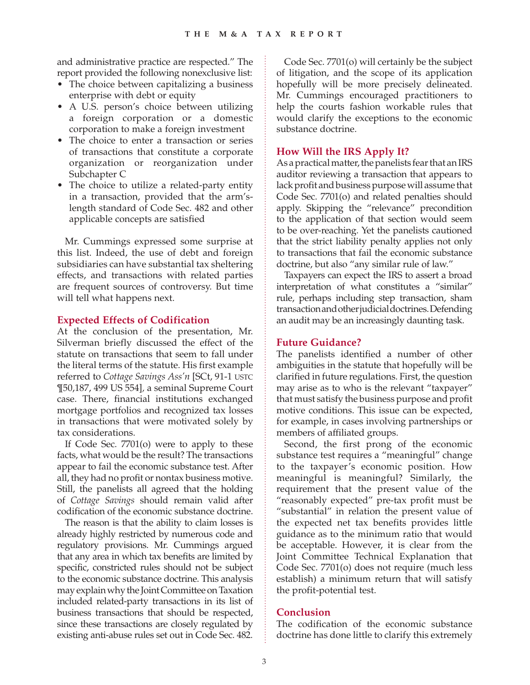and administrative practice are respected." The report provided the following nonexclusive list:

- The choice between capitalizing a business enterprise with debt or equity
- A U.S. person's choice between utilizing a foreign corporation or a domestic corporation to make a foreign investment
- The choice to enter a transaction or series of transactions that constitute a corporate organization or reorganization under Subchapter C
- The choice to utilize a related-party entity in a transaction, provided that the arm'slength standard of Code Sec. 482 and other applicable concepts are satisfied

Mr. Cummings expressed some surprise at this list. Indeed, the use of debt and foreign subsidiaries can have substantial tax sheltering effects, and transactions with related parties are frequent sources of controversy. But time will tell what happens next.

## **Expected Effects of Codification**

At the conclusion of the presentation, Mr. Silverman briefly discussed the effect of the statute on transactions that seem to fall under the literal terms of the statute. His first example referred to *Cottage Savings Ass'n* [SCt, 91-1 USTC ¶50,187, 499 US 554]*,* a seminal Supreme Court case. There, financial institutions exchanged mortgage portfolios and recognized tax losses in transactions that were motivated solely by tax considerations.

If Code Sec. 7701(o) were to apply to these facts, what would be the result? The transactions appear to fail the economic substance test. After all, they had no profit or nontax business motive. Still, the panelists all agreed that the holding of *Cottage Savings* should remain valid after codification of the economic substance doctrine.

The reason is that the ability to claim losses is already highly restricted by numerous code and regulatory provisions. Mr. Cummings argued that any area in which tax benefits are limited by specific, constricted rules should not be subject to the economic substance doctrine. This analysis may explain why the Joint Committee on Taxation included related-party transactions in its list of business transactions that should be respected, since these transactions are closely regulated by existing anti-abuse rules set out in Code Sec. 482.

Code Sec. 7701(o) will certainly be the subject of litigation, and the scope of its application hopefully will be more precisely delineated. Mr. Cummings encouraged practitioners to help the courts fashion workable rules that would clarify the exceptions to the economic substance doctrine.

# **How Will the IRS Apply It?**

As a practical matter, the panelists fear that an IRS auditor reviewing a transaction that appears to lack profit and business purpose will assume that Code Sec. 7701(o) and related penalties should apply. Skipping the "relevance" precondition to the application of that section would seem to be over-reaching. Yet the panelists cautioned that the strict liability penalty applies not only to transactions that fail the economic substance doctrine, but also "any similar rule of law."

Taxpayers can expect the IRS to assert a broad interpretation of what constitutes a "similar" rule, perhaps including step transaction, sham transaction and other judicial doctrines. Defending an audit may be an increasingly daunting task.

### **Future Guidance?**

The panelists identified a number of other ambiguities in the statute that hopefully will be clarified in future regulations. First, the question may arise as to who is the relevant "taxpayer" that must satisfy the business purpose and profit motive conditions. This issue can be expected, for example, in cases involving partnerships or members of affiliated groups.

Second, the first prong of the economic substance test requires a "meaningful" change to the taxpayer's economic position. How meaningful is meaningful? Similarly, the requirement that the present value of the "reasonably expected" pre-tax profit must be "substantial" in relation the present value of the expected net tax benefits provides little guidance as to the minimum ratio that would be acceptable. However, it is clear from the Joint Committee Technical Explanation that Code Sec. 7701(o) does not require (much less establish) a minimum return that will satisfy the profit-potential test.

## **Conclusion**

The codification of the economic substance doctrine has done little to clarify this extremely